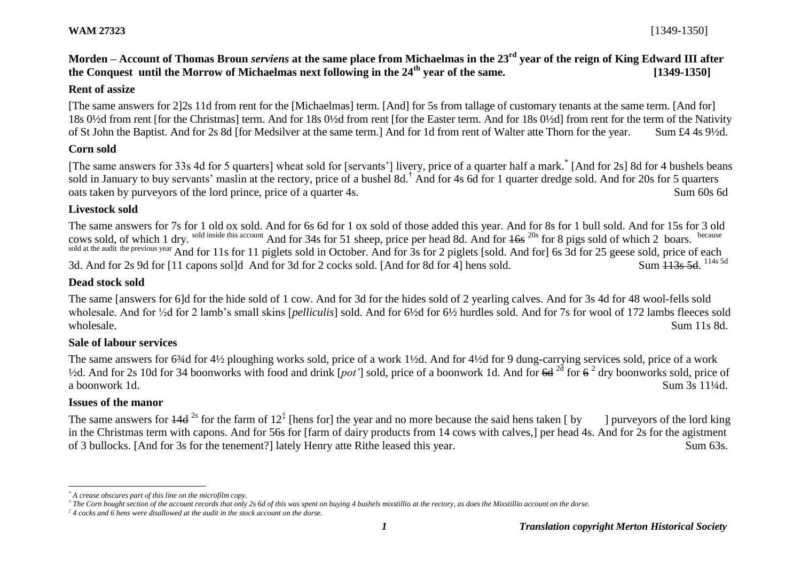## **Morden – Account of Thomas Broun** *serviens* **at the same place from Michaelmas in the 23rd year of the reign of King Edward III after the Conquest until the Morrow of Michaelmas next following in the 24th year of the same. [1349-1350]**

#### **Rent of assize**

[The same answers for 2]2s 11d from rent for the [Michaelmas] term. [And] for 5s from tallage of customary tenants at the same term. [And for] 18s 0½d from rent [for the Christmas] term. And for 18s 0½d from rent [for the Easter term. And for 18s 0½d] from rent for the term of the Nativity of St John the Baptist. And for 2s 8d [for Medsilver at the same term.] And for 1d from rent of Walter atte Thorn for the year. Sum £4 4s 9½d.

#### **Corn sold**

[The same answers for 33s 4d for 5 quarters] wheat sold for [servants'] livery, price of a quarter half a mark.<sup>\*</sup> [And for 2s] 8d for 4 bushels beans sold in January to buy servants' maslin at the rectory, price of a bushel 8d.<sup>†</sup> And for 4s 6d for 1 quarter dredge sold. And for 20s for 5 quarters oats taken by purveyors of the lord prince, price of a quarter 4s. Sum 60s 6d

#### **Livestock sold**

The same answers for 7s for 1 old ox sold. And for 6s 6d for 1 ox sold of those added this year. And for 8s for 1 bull sold. And for 15s for 3 old cows sold, of which 1 dry. sold inside this account And for 34s for 51 sheep, price per head 8d. And for  $16s^{20s}$  for 8 pigs sold of which 2 boars. sold at the audit the previous year And for 11s for 11 piglets sold in October. And for 3s for 2 piglets [sold. And for] 6s 3d for 25 geese sold, price of each 3d. And for 2s 9d for [11 capons sol]d And for 3d for 2 cocks sold. [And for 8d for 4] hens sold. Sum 113s 5d. 114s 5d

#### **Dead stock sold**

The same [answers for 6]d for the hide sold of 1 cow. And for 3d for the hides sold of 2 yearling calves. And for 3s 4d for 48 wool-fells sold wholesale. And for ½d for 2 lamb's small skins [*pelliculis*] sold. And for 6½d for 6½ hurdles sold. And for 7s for wool of 172 lambs fleeces sold wholesale. Sum 11s 8d.

#### **Sale of labour services**

The same answers for 6<sup>3</sup>/4d for 4<sup>1</sup>/<sub>2</sub> ploughing works sold, price of a work 1<sup>1</sup>/<sub>2</sub>d. And for 4<sup>1</sup>/<sub>2d</sub> for 9 dung-carrying services sold, price of a work <sup>1</sup>/2d. And for 2s 10d for 34 boonworks with food and drink [pot'] sold, price of a boonwork 1d. And for <del>6d</del> <sup>2d</sup> for 6<sup>2</sup> dry boonworks sold, price of a boonwork 1d. Sum 3s 11¼d.

#### **Issues of the manor**

 $\overline{a}$ 

The same answers for  $14d^{2s}$  for the farm of  $12<sup>\ddag</sup>$  [hens for] the year and no more because the said hens taken [ by ] purveyors of the lord king in the Christmas term with capons. And for 56s for [farm of dairy products from 14 cows with calves,] per head 4s. And for 2s for the agistment of 3 bullocks. [And for 3s for the tenement?] lately Henry atte Rithe leased this year. Sum 63s.

*<sup>\*</sup> A crease obscures part of this line on the microfilm copy.*

*<sup>†</sup> The Corn bought section of the account records that only 2s 6d of this was spent on buying 4 bushels mixstillio at the rectory, as does the Mixstillio account on the dorse.*

*<sup>‡</sup> 4 cocks and 6 hens were disallowed at the audit in the stock account on the dorse.*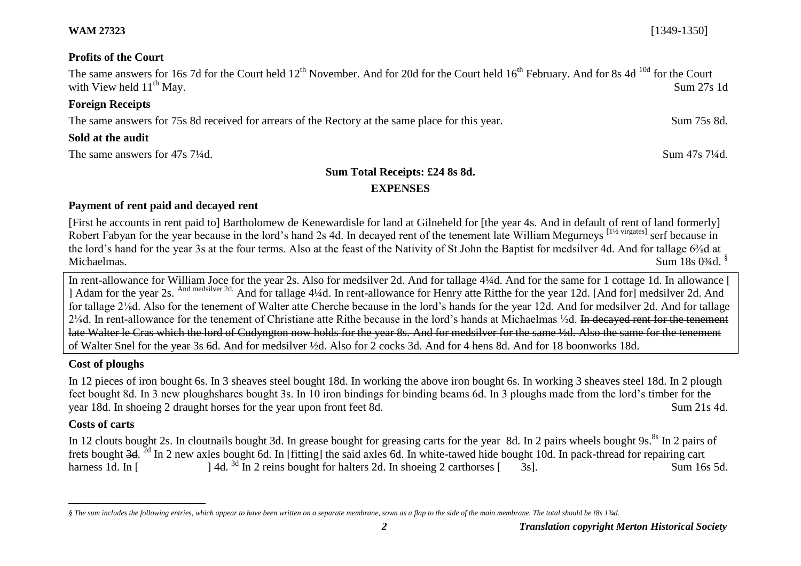**Profits of the Court**

The same answers for 16s 7d for the Court held  $12<sup>th</sup>$  November. And for 20d for the Court held  $16<sup>th</sup>$  February. And for 8s 4d  $^{10d}$  for the Court with View held  $11^{th}$  May. Sum 27s 1d

#### **Foreign Receipts**

The same answers for 75s 8d received for arrears of the Rectory at the same place for this year. Sum 75s 8d.

#### **Sold at the audit**

The same answers for 47s 7<sup>1</sup>/<sub>4</sub>d. Sum 47s 7<sup>1</sup>/<sub>4</sub>d.

# **Sum Total Receipts: £24 8s 8d.**

### **EXPENSES**

### **Payment of rent paid and decayed rent**

[First he accounts in rent paid to] Bartholomew de Kenewardisle for land at Gilneheld for [the year 4s. And in default of rent of land formerly] Robert Fabyan for the year because in the lord's hand 2s 4d. In decayed rent of the tenement late William Megurneys [1½ virgates] serf because in the lord's hand for the year 3s at the four terms. Also at the feast of the Nativity of St John the Baptist for medsilver 4d. And for tallage 6<sup>3</sup>/<sub>8</sub>d at Michaelmas. Sum 18s 0<sup>3</sup>/4d. <sup>§</sup>

In rent-allowance for William Joce for the year 2s. Also for medsilver 2d. And for tallage 4¼d. And for the same for 1 cottage 1d. In allowance [ ] Adam for the year 2s. And medsilver 2d. And for tallage 4¼d. In rent-allowance for Henry atte Ritthe for the year 12d. [And for] medsilver 2d. And for tallage 2⅛d. Also for the tenement of Walter atte Cherche because in the lord's hands for the year 12d. And for medsilver 2d. And for tallage 2⅛d. In rent-allowance for the tenement of Christiane atte Rithe because in the lord's hands at Michaelmas ½d. In decayed rent for the tenement late Walter le Cras which the lord of Cudyngton now holds for the year 8s. And for medsilver for the same ½d. Also the same for the tenement of Walter Snel for the year 3s 6d. And for medsilver ½d. Also for 2 cocks 3d. And for 4 hens 8d. And for 18 boonworks 18d.

## **Cost of ploughs**

In 12 pieces of iron bought 6s. In 3 sheaves steel bought 18d. In working the above iron bought 6s. In working 3 sheaves steel 18d. In 2 plough feet bought 8d. In 3 new ploughshares bought 3s. In 10 iron bindings for binding beams 6d. In 3 ploughs made from the lord's timber for the year 18d. In shoeing 2 draught horses for the year upon front feet 8d. Sum 21s 4d.

## **Costs of carts**

In 12 clouts bought 2s. In cloutnails bought 3d. In grease bought for greasing carts for the year 8d. In 2 pairs wheels bought 9s.<sup>8s</sup> In 2 pairs of frets bought 3d. <sup>2d</sup> In 2 new axles bought 6d. In [fitting] the said axles 6d. In white-tawed hide bought 10d. In pack-thread for repairing cart harness 1d. In  $\lceil$ 1 4d. <sup>3d</sup> In 2 reins bought for halters 2d. In shoeing 2 carthorses [ 3s]. Sum 16s 5d.

**WAM 27323** [1349-1350]

 $\overline{a}$ *§ The sum includes the following entries, which appear to have been written on a separate membrane, sown as a flap to the side of the main membrane. The total should be !8s 1¾d.*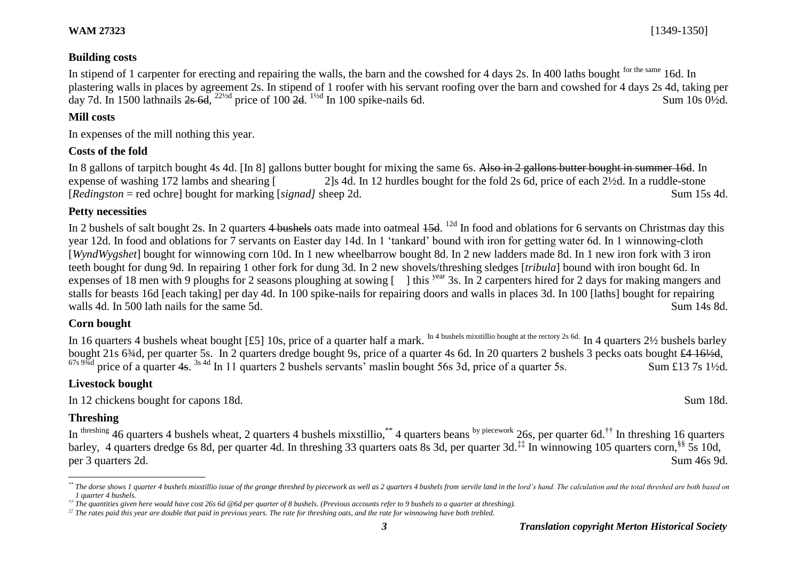#### **Building costs**

In stipend of 1 carpenter for erecting and repairing the walls, the barn and the cowshed for 4 days 2s. In 400 laths bought <sup>for the same</sup> 16d. In plastering walls in places by agreement 2s. In stipend of 1 roofer with his servant roofing over the barn and cowshed for 4 days 2s 4d, taking per day 7d. In 1500 lathnails  $2s$  6d,  $2^{2\frac{1}{2}d}$  price of 100  $2d$ .  $1^{1/2d}$  In 100 spike-nails 6d. Sum 10s 0<sup>1</sup>/2d.

#### **Mill costs**

In expenses of the mill nothing this year.

#### **Costs of the fold**

In 8 gallons of tarpitch bought 4s 4d. [In 8] gallons butter bought for mixing the same 6s. Also in 2 gallons butter bought in summer 16d. In expense of washing 172 lambs and shearing [ 2]s 4d. In 12 hurdles bought for the fold 2s 6d, price of each 2½d. In a ruddle-stone [*Redingston* = red ochre] bought for marking [*signad]* sheep 2d. Sum 15s 4d.

#### **Petty necessities**

In 2 bushels of salt bought 2s. In 2 quarters 4 bushels oats made into oatmeal  $45d$ . <sup>12d</sup> In food and oblations for 6 servants on Christmas day this year 12d. In food and oblations for 7 servants on Easter day 14d. In 1 'tankard' bound with iron for getting water 6d. In 1 winnowing-cloth [*WyndWygshet*] bought for winnowing corn 10d. In 1 new wheelbarrow bought 8d. In 2 new ladders made 8d. In 1 new iron fork with 3 iron teeth bought for dung 9d. In repairing 1 other fork for dung 3d. In 2 new shovels/threshing sledges [*tribula*] bound with iron bought 6d. In expenses of 18 men with 9 ploughs for 2 seasons ploughing at sowing [ ] this <sup>year</sup> 3s. In 2 carpenters hired for 2 days for making mangers and stalls for beasts 16d [each taking] per day 4d. In 100 spike-nails for repairing doors and walls in places 3d. In 100 [laths] bought for repairing walls 4d. In 500 lath nails for the same 5d. Sum 14s 8d. Sum 14s 8d.

#### **Corn bought**

In 16 quarters 4 bushels wheat bought [£5] 10s, price of a quarter half a mark. In 4 bushels mixstillio bought at the rectory 2s 6d. In 4 quarters 21/2 bushels barley bought 21s 6<sup>3</sup>/4d, per quarter 5s. In 2 quarters dredge bought 9s, price of a quarter 4s 6d. In 20 quarters 2 bushels 3 pecks oats bought £4 16<sup>1</sup>/<sub>2</sub>d,  $^{67s\,9\%d}$  price of a quarter 4s. <sup>3s 4d</sup> In 11 quarters 2 bushels servants<sup>3</sup> maslin bought 56s 3d, price of a quarter 5s. Sum £13 7s 1½d.

#### **Livestock bought**

In 12 chickens bought for capons 18d. Sum 18d.

#### **Threshing**

l

In threshing 46 quarters 4 bushels wheat, 2 quarters 4 bushels mixstillio,  $*$  4 quarters beans by piecework 26s, per quarter 6d.<sup>††</sup> In threshing 16 quarters barley, 4 quarters dredge 6s 8d, per quarter 4d. In threshing 33 quarters oats 8s 3d, per quarter 3d.<sup>‡‡</sup> In winnowing 105 quarters corn,<sup>§§</sup> 5s 10d, per 3 quarters 2d. Sum 46s 9d.

<sup>\*</sup> The dorse shows 1 quarter 4 bushels mixstillio issue of the grange threshed by piecework as well as 2 quarters 4 bushels from servile land in the lord's hand. The calculation and the total threshed are both based on *1 quarter 4 bushels.*

*<sup>††</sup> The quantities given here would have cost 26s 6d @6d per quarter of 8 bushels. (Previous accounts refer to 9 bushels to a quarter at threshing).*

*<sup>‡‡</sup> The rates paid this year are double that paid in previous years. The rate for threshing oats, and the rate for winnowing have both trebled.*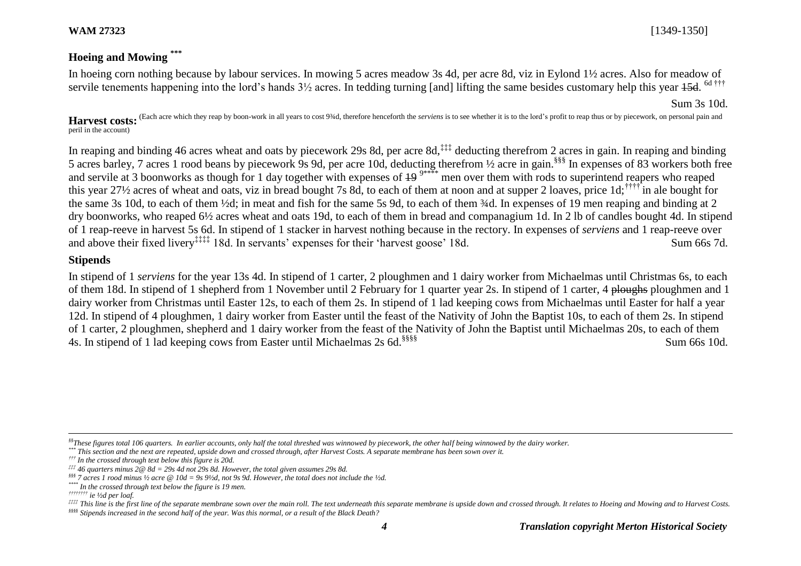# **Hoeing and Mowing \*\*\***

In hoeing corn nothing because by labour services. In mowing 5 acres meadow 3s 4d, per acre 8d, viz in Eylond 1½ acres. Also for meadow of servile tenements happening into the lord's hands  $3\frac{1}{2}$  acres. In tedding turning [and] lifting the same besides customary help this year 45d. <sup>6d †††</sup>

Sum 3s 10d.

Harvest costs: <sup>(Each acre which they reap by boon-work in all years to cost 9¾d, therefore henceforth the *serviens* is to see whether it is to the lord's profit to reap thus or by piecework, on personal pain and</sup> peril in the account)

In reaping and binding 46 acres wheat and oats by piecework 29s 8d, per acre 8d,<sup>‡‡‡</sup> deducting therefrom 2 acres in gain. In reaping and binding 5 acres barley, 7 acres 1 rood beans by piecework 9s 9d, per acre 10d, deducting therefrom ½ acre in gain.§§§ In expenses of 83 workers both free and servile at 3 boonworks as though for 1 day together with expenses of  $\frac{19}{10}$ <sup>9\*\*\*\*</sup> men over them with rods to superintend reapers who reaped this year 27½ acres of wheat and oats, viz in bread bought 7s 8d, to each of them at noon and at supper 2 loaves, price 1d;†††† in ale bought for the same 3s 10d, to each of them ½d; in meat and fish for the same 5s 9d, to each of them ¾d. In expenses of 19 men reaping and binding at 2 dry boonworks, who reaped 6½ acres wheat and oats 19d, to each of them in bread and companagium 1d. In 2 lb of candles bought 4d. In stipend of 1 reap-reeve in harvest 5s 6d. In stipend of 1 stacker in harvest nothing because in the rectory. In expenses of *serviens* and 1 reap-reeve over and above their fixed livery<sup>‡‡‡‡</sup> 18d. In servants' expenses for their 'harvest goose' 18d. Sum 66s 7d.

#### **Stipends**

In stipend of 1 *serviens* for the year 13s 4d. In stipend of 1 carter, 2 ploughmen and 1 dairy worker from Michaelmas until Christmas 6s, to each of them 18d. In stipend of 1 shepherd from 1 November until 2 February for 1 quarter year 2s. In stipend of 1 carter, 4 ploughs ploughmen and 1 dairy worker from Christmas until Easter 12s, to each of them 2s. In stipend of 1 lad keeping cows from Michaelmas until Easter for half a year 12d. In stipend of 4 ploughmen, 1 dairy worker from Easter until the feast of the Nativity of John the Baptist 10s, to each of them 2s. In stipend of 1 carter, 2 ploughmen, shepherd and 1 dairy worker from the feast of the Nativity of John the Baptist until Michaelmas 20s, to each of them 4s. In stipend of 1 lad keeping cows from Easter until Michaelmas 2s 6d.<sup>§§§§§</sup> Sum 66s 10d.

 $\overline{a}$ 

*<sup>§§</sup>These figures total 106 quarters. In earlier accounts, only half the total threshed was winnowed by piecework, the other half being winnowed by the dairy worker.*

*<sup>\*\*\*</sup> This section and the next are repeated, upside down and crossed through, after Harvest Costs. A separate membrane has been sown over it.* 

*<sup>†††</sup> In the crossed through text below this figure is 20d.*

*<sup>‡‡‡</sup> 46 quarters minus 2@ 8d = 29s 4d not 29s 8d. However, the total given assumes 29s 8d.*

*<sup>§§§</sup> 7 acres 1 rood minus ½ acre @ 10d = 9s 9½d, not 9s 9d. However, the total does not include the ½d.*

*<sup>\*\*\*\*</sup> In the crossed through text below the figure is 19 men.*

*<sup>††††††††</sup> ie ½d per loaf.*

<sup>&</sup>lt;sup>2222</sup> This line is the first line of the separate membrane sown over the main roll. The text underneath this separate membrane is upside down and crossed through. It relates to Hoeing and Mowing and to Harvest Costs.

*<sup>§§§§</sup> Stipends increased in the second half of the year. Was this normal, or a result of the Black Death?*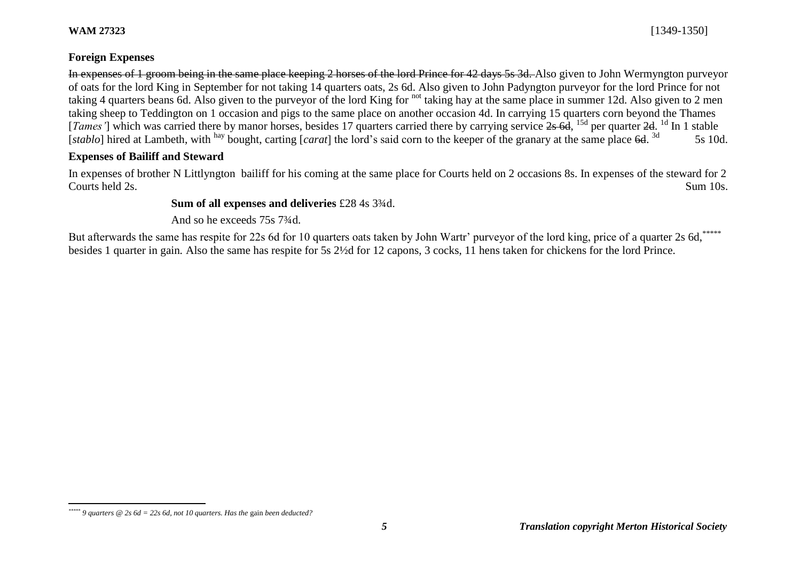#### **WAM 27323** [1349-1350]

 $\overline{a}$ 

In expenses of 1 groom being in the same place keeping 2 horses of the lord Prince for 42 days 5s 3d. Also given to John Wermyngton purveyor of oats for the lord King in September for not taking 14 quarters oats, 2s 6d. Also given to John Padyngton purveyor for the lord Prince for not taking 4 quarters beans 6d. Also given to the purveyor of the lord King for not taking hay at the same place in summer 12d. Also given to 2 men taking sheep to Teddington on 1 occasion and pigs to the same place on another occasion 4d. In carrying 15 quarters corn beyond the Thames [*Tames'*] which was carried there by manor horses, besides 17 quarters carried there by carrying service 2s 6d, <sup>15d</sup> per quarter 2d. <sup>1d</sup> In 1 stable [*stablo*] hired at Lambeth, with hay bought, carting [*carat*] the lord's said corn to the keeper of the granary at the same place 6d. <sup>3d</sup> 5s 10d.

### **Expenses of Bailiff and Steward**

In expenses of brother N Littlyngton bailiff for his coming at the same place for Courts held on 2 occasions 8s. In expenses of the steward for 2 Courts held 2s. Sum 10s.

#### **Sum of all expenses and deliveries** £28 4s 3¾d.

And so he exceeds 75s 7¾d.

But afterwards the same has respite for 22s 6d for 10 quarters oats taken by John Wartr' purveyor of the lord king, price of a quarter 2s 6d,\*\*\*\*\* besides 1 quarter in gain*.* Also the same has respite for 5s 2½d for 12 capons, 3 cocks, 11 hens taken for chickens for the lord Prince.

*<sup>\*\*\*\*\*</sup> 9 quarters @ 2s 6d = 22s 6d, not 10 quarters. Has the* gain *been deducted?*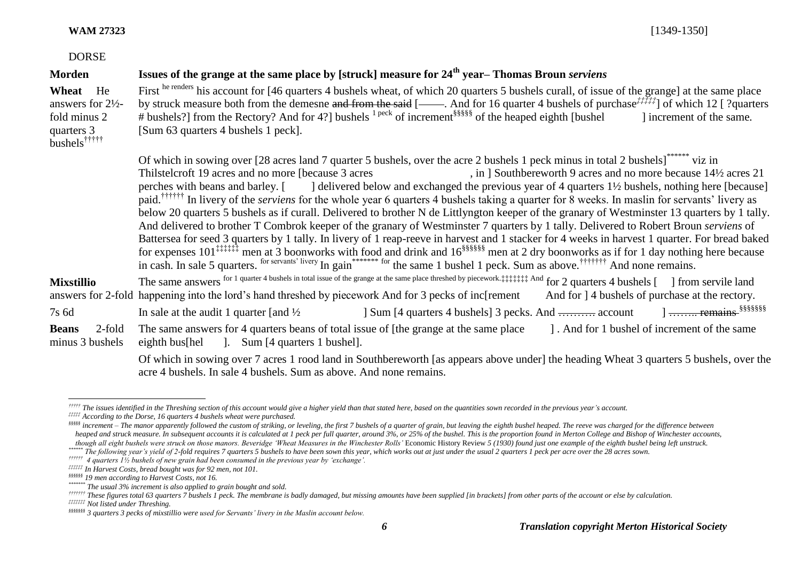#### **WAM 27323** [1349-1350]

| <b>DORSE</b>                                                                                       |                                                                                                                                                                                                                                                                                                                                                                                                                                                                                                                                                                                                                                                                                                                                                                                                                                                                                                                                                                                                                               |
|----------------------------------------------------------------------------------------------------|-------------------------------------------------------------------------------------------------------------------------------------------------------------------------------------------------------------------------------------------------------------------------------------------------------------------------------------------------------------------------------------------------------------------------------------------------------------------------------------------------------------------------------------------------------------------------------------------------------------------------------------------------------------------------------------------------------------------------------------------------------------------------------------------------------------------------------------------------------------------------------------------------------------------------------------------------------------------------------------------------------------------------------|
| <b>Morden</b>                                                                                      | Issues of the grange at the same place by [struck] measure for 24 <sup>th</sup> year-Thomas Broun serviens                                                                                                                                                                                                                                                                                                                                                                                                                                                                                                                                                                                                                                                                                                                                                                                                                                                                                                                    |
| Wheat He<br>answers for $2\frac{1}{2}$ -<br>fold minus 2<br>quarters 3<br>bushels <sup>†††††</sup> | First he renders his account for [46 quarters 4 bushels wheat, of which 20 quarters 5 bushels curall, of issue of the grange] at the same place<br>by struck measure both from the demesne and from the said [-all- And for 16 quarter 4 bushels of purchase $\frac{1}{1}$ ] of which 12 [? quarters]<br># bushels?] from the Rectory? And for 4?] bushels $1^{peck}$ of increment <sup>§§§§§§</sup> of the heaped eighth [bushel]<br>I increment of the same.<br>[Sum 63 quarters 4 bushels 1 peck].                                                                                                                                                                                                                                                                                                                                                                                                                                                                                                                         |
|                                                                                                    | Of which in sowing over [28 acres land 7 quarter 5 bushels, over the acre 2 bushels 1 peck minus in total 2 bushels] <sup>*******</sup> viz in<br>Thilstelcroft 19 acres and no more [because 3 acres]<br>, in ] Southbereworth 9 acres and no more because 14½ acres 21<br>perches with beans and barley. [] delivered below and exchanged the previous year of 4 quarters 1\% bushels, nothing here [because]<br>paid. <sup>††††††</sup> In livery of the <i>serviens</i> for the whole year 6 quarters 4 bushels taking a quarter for 8 weeks. In maslin for servants' livery as<br>below 20 quarters 5 bushels as if curall. Delivered to brother N de Littlyngton keeper of the granary of Westminster 13 quarters by 1 tally.<br>And delivered to brother T Combrok keeper of the granary of Westminster 7 quarters by 1 tally. Delivered to Robert Broun serviens of<br>Battersea for seed 3 quarters by 1 tally. In livery of 1 reap-reeve in harvest and 1 stacker for 4 weeks in harvest 1 quarter. For bread baked |
| <b>Mixstillio</b>                                                                                  | The same answers for 1 quarter 4 bushels in total issue of the grange at the same place threshed by piecework.: it it and for 2 quarters 4 bushels [] from servile land<br>answers for 2-fold happening into the lord's hand threshed by piecework And for 3 pecks of inc[rement]<br>And for 14 bushels of purchase at the rectory.                                                                                                                                                                                                                                                                                                                                                                                                                                                                                                                                                                                                                                                                                           |
| $7s$ 6d                                                                                            | ] Sum [4 quarters 4 bushels] 3 pecks. And  account 1  remains substants<br>In sale at the audit 1 quarter [and $\frac{1}{2}$                                                                                                                                                                                                                                                                                                                                                                                                                                                                                                                                                                                                                                                                                                                                                                                                                                                                                                  |
| <b>Beans</b><br>2-fold<br>minus 3 bushels                                                          | The same answers for 4 quarters beans of total issue of [the grange at the same place<br>]. And for 1 bushel of increment of the same<br>eighth bus[hel ]. Sum [4 quarters 1 bushel].                                                                                                                                                                                                                                                                                                                                                                                                                                                                                                                                                                                                                                                                                                                                                                                                                                         |
|                                                                                                    | Of which in sowing over 7 acres 1 rood land in Southbereworth [as appears above under] the heading Wheat 3 quarters 5 bushels, over the<br>acre 4 bushels. In sale 4 bushels. Sum as above. And none remains.                                                                                                                                                                                                                                                                                                                                                                                                                                                                                                                                                                                                                                                                                                                                                                                                                 |

*<sup>†††††</sup> The issues identified in the Threshing section of this account would give a higher yield than that stated here, based on the quantities sown recorded in the previous year's account.*

l

*<sup>‡‡‡‡‡</sup> According to the Dorse, 16 quarters 4 bushels wheat were purchased.*

SSSSS increment - The manor apparently followed the custom of striking, or leveling, the first 7 bushels of a quarter of grain, but leaving the eighth bushel heaped. The reeve was charged for the difference between *heaped and struck measure. In subsequent accounts it is calculated at 1 peck per full quarter, around 3%, or 25% of the bushel. This is the proportion found in Merton College and Bishop of Winchester accounts, though all eight bushels were struck on those manors. Beveridge 'Wheat Measures in the Winchester Rolls'* Economic History Review *5 (1930) found just one example of the eighth bushel being left unstruck.*

*<sup>\*\*\*\*\*\*</sup> The following year's yield of 2-fold requires 7 quarters 5 bushels to have been sown this year, which works out at just under the usual 2 quarters 1 peck per acre over the 28 acres sown.*

*<sup>††††††</sup> 4 quarters 1½ bushels of new grain had been consumed in the previous year by 'exchange'.*

*<sup>‡‡‡‡‡‡</sup> In Harvest Costs, bread bought was for 92 men, not 101.*

*<sup>§§§§§§</sup> 19 men according to Harvest Costs, not 16.*

*<sup>\*\*\*\*\*\*\*</sup> The usual 3% increment is also applied to grain bought and sold.*

*<sup>†††††††</sup> These figures total 63 quarters 7 bushels 1 peck. The membrane is badly damaged, but missing amounts have been supplied [in brackets] from other parts of the account or else by calculation.*

*<sup>‡‡‡‡‡‡‡</sup> Not listed under Threshing.*

*<sup>§§§§§§§</sup> 3 quarters 3 pecks of mixstillio were used for Servants' livery in the Maslin account below.*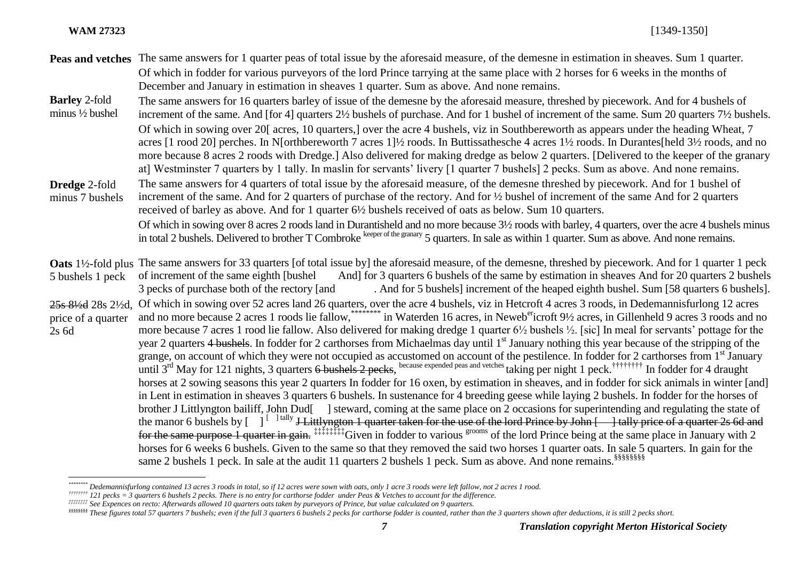l

- **Peas and vetches** The same answers for 1 quarter peas of total issue by the aforesaid measure, of the demesne in estimation in sheaves. Sum 1 quarter. Of which in fodder for various purveyors of the lord Prince tarrying at the same place with 2 horses for 6 weeks in the months of December and January in estimation in sheaves 1 quarter. Sum as above. And none remains.
- **Barley** 2-fold minus ½ bushel The same answers for 16 quarters barley of issue of the demesne by the aforesaid measure, threshed by piecework. And for 4 bushels of increment of the same. And [for 4] quarters 2½ bushels of purchase. And for 1 bushel of increment of the same. Sum 20 quarters 7½ bushels. Of which in sowing over 20[ acres, 10 quarters,] over the acre 4 bushels, viz in Southbereworth as appears under the heading Wheat, 7 acres [1 rood 20] perches. In N[orthbereworth 7 acres 1]½ roods. In Buttissathesche 4 acres 1½ roods. In Durantes[held 3½ roods, and no more because 8 acres 2 roods with Dredge.] Also delivered for making dredge as below 2 quarters. [Delivered to the keeper of the granary at] Westminster 7 quarters by 1 tally. In maslin for servants' livery [1 quarter 7 bushels] 2 pecks. Sum as above. And none remains. **Dredge** 2-fold minus 7 bushels The same answers for 4 quarters of total issue by the aforesaid measure, of the demesne threshed by piecework. And for 1 bushel of increment of the same. And for 2 quarters of purchase of the rectory. And for ½ bushel of increment of the same And for 2 quarters received of barley as above. And for 1 quarter 6½ bushels received of oats as below. Sum 10 quarters. Of which in sowing over 8 acres 2 roods land in Durantisheld and no more because 3½ roods with barley, 4 quarters, over the acre 4 bushels minus in total 2 bushels. Delivered to brother T Combroke keeper of the granary 5 quarters. In sale as within 1 quarter, Sum as above. And none remains.
- **Oats** 1½-fold plus The same answers for 33 quarters [of total issue by] the aforesaid measure, of the demesne, threshed by piecework. And for 1 quarter 1 peck 5 bushels 1 peck of increment of the same eighth [bushel] And] for 3 quarters 6 bushels of the same by estimation in sheaves And for 20 quarters 2 bushels 3 pecks of purchase both of the rectory [and . And for 5 bushels] increment of the heaped eighth bushel. Sum [58 quarters 6 bushels]. 25s 8½d 28s 2½d, Of which in sowing over 52 acres land 26 quarters, over the acre 4 bushels, viz in Hetcroft 4 acres 3 roods, in Dedemannisfurlong 12 acres price of a quarter 2s 6d and no more because 2 acres 1 roods lie fallow, \*\*\*\*\*\*\*\*\*\*\*\*\*\* in Waterden 16 acres, in Neweb<sup>er</sup>icroft 9½ acres, in Gillenheld 9 acres 3 roods and no more because 7 acres 1 rood lie fallow. Also delivered for making dredge 1 quarter  $6\frac{1}{2}$  bushels  $\frac{1}{2}$ . [sic] In meal for servants' pottage for the year 2 quarters 4 bushels. In fodder for 2 carthorses from Michaelmas day until 1<sup>st</sup> January nothing this year because of the stripping of the grange, on account of which they were not occupied as accustomed on account of the pestilence. In fodder for 2 carthorses from 1<sup>st</sup> January until  $3^{rd}$  May for 121 nights, 3 quarters 6 bushels 2 pecks, because expended peas and vetches taking per night 1 peck.<sup>††††††††</sup> In fodder for 4 draught horses at 2 sowing seasons this year 2 quarters In fodder for 16 oxen, by estimation in sheaves, and in fodder for sick animals in winter [and] in Lent in estimation in sheaves 3 quarters 6 bushels. In sustenance for 4 breeding geese while laying 2 bushels. In fodder for the horses of brother J Littlyngton bailiff, John Dud<sup>[1</sup>] steward, coming at the same place on 2 occasions for superintending and regulating the state of the manor 6 bushels by  $\begin{bmatrix} 1 & \text{fully} \end{bmatrix}$  Littlyngton 1 quarter taken for the use of the lord Prince by John  $\begin{bmatrix} 1 & \text{fully} \end{bmatrix}$  tally price of a quarter 2s 6d and for the same purpose 1 quarter in gain. <sup>######</sup>Given in fodder to various grooms of the lord Prince being at the same place in January with 2 horses for 6 weeks 6 bushels. Given to the same so that they removed the said two horses 1 quarter oats. In sale 5 quarters. In gain for the same 2 bushels 1 peck. In sale at the audit 11 quarters 2 bushels 1 peck. Sum as above. And none remains.<sup>§§§§§§§§</sup>§

*<sup>\*\*\*\*\*\*\*\*</sup> Dedemannisfurlong contained 13 acres 3 roods in total, so if 12 acres were sown with oats, only 1 acre 3 roods were left fallow, not 2 acres 1 rood.*

*<sup>††††††††</sup> 121 pecks = 3 quarters 6 bushels 2 pecks. There is no entry for carthorse fodder under Peas & Vetches to account for the difference.*

*<sup>‡‡‡‡‡‡‡‡</sup> See Expences on recto: Afterwards allowed 10 quarters oats taken by purveyors of Prince, but value calculated on 9 quarters.*

*<sup>§§§§§§§§</sup> These figures total 57 quarters 7 bushels; even if the full 3 quarters 6 bushels 2 pecks for carthorse fodder is counted, rather than the 3 quarters shown after deductions, it is still 2 pecks short.*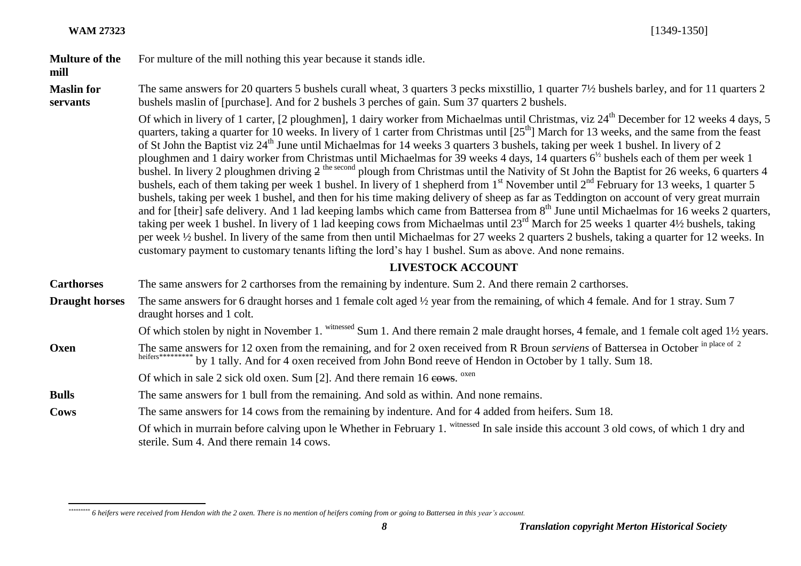#### **Multure of the**  For multure of the mill nothing this year because it stands idle.

#### **mill**

**Maslin for servants** The same answers for 20 quarters 5 bushels curall wheat, 3 quarters 3 pecks mixstillio, 1 quarter 7½ bushels barley, and for 11 quarters 2 bushels maslin of [purchase]. And for 2 bushels 3 perches of gain. Sum 37 quarters 2 bushels.

Of which in livery of 1 carter,  $[2 \text{ ploughmen}]$ , 1 dairy worker from Michaelmas until Christmas, viz  $24^{\text{th}}$  December for 12 weeks 4 days, 5 quarters, taking a quarter for 10 weeks. In livery of 1 carter from Christmas until [25<sup>th</sup>] March for 13 weeks, and the same from the feast of St John the Baptist viz 24<sup>th</sup> June until Michaelmas for 14 weeks 3 quarters 3 bushels, taking per week 1 bushel. In livery of 2 ploughmen and 1 dairy worker from Christmas until Michaelmas for 39 weeks 4 days, 14 quarters 6<sup>1/2</sup> bushels each of them per week 1 bushel. In livery 2 ploughmen driving  $2^{the second}$  plough from Christmas until the Nativity of St John the Baptist for 26 weeks, 6 quarters 4 bushels, each of them taking per week 1 bushel. In livery of 1 shepherd from  $1<sup>st</sup>$  November until  $2<sup>nd</sup>$  February for 13 weeks, 1 quarter 5 bushels, taking per week 1 bushel, and then for his time making delivery of sheep as far as Teddington on account of very great murrain and for [their] safe delivery. And 1 lad keeping lambs which came from Battersea from 8<sup>th</sup> June until Michaelmas for 16 weeks 2 quarters, taking per week 1 bushel. In livery of 1 lad keeping cows from Michaelmas until 23<sup>rd</sup> March for 25 weeks 1 quarter 4½ bushels, taking per week ½ bushel. In livery of the same from then until Michaelmas for 27 weeks 2 quarters 2 bushels, taking a quarter for 12 weeks. In customary payment to customary tenants lifting the lord's hay 1 bushel. Sum as above. And none remains.

### **LIVESTOCK ACCOUNT**

| <b>Carthorses</b> | The same answers for 2 carthorses from the remaining by indenture. Sum 2. And there remain 2 carthorses.                                                                                |
|-------------------|-----------------------------------------------------------------------------------------------------------------------------------------------------------------------------------------|
|                   | <b>Draught horses</b> The same answers for 6 draught horses and 1 female colt aged 1/2 year from the remaining, of which 4 female. And for 1 stray. Sum 7<br>draught horses and 1 colt. |

Of which stolen by night in November 1. witnessed Sum 1. And there remain 2 male draught horses, 4 female, and 1 female colt aged 1<sup>1</sup>/<sub>2</sub> years.

**Oxen** The same answers for 12 oxen from the remaining, and for 2 oxen received from R Broun *serviens* of Battersea in October <sup>in place of 2</sup>  $*$  by 1 tally. And for 4 oxen received from John Bond reeve of Hendon in October by 1 tally. Sum 18.

Of which in sale 2 sick old oxen. Sum [2]. And there remain 16 cows. <sup>oxen</sup>

**Bulls** The same answers for 1 bull from the remaining. And sold as within. And none remains.

Of which in murrain before calving upon le Whether in February 1. witnessed In sale inside this account 3 old cows, of which 1 dry and sterile. Sum 4. And there remain 14 cows.

**Cows** The same answers for 14 cows from the remaining by indenture. And for 4 added from heifers. Sum 18.

 $\overline{a}$ *\*\*\*\*\*\*\*\*\* 6 heifers were received from Hendon with the 2 oxen. There is no mention of heifers coming from or going to Battersea in this year's account.*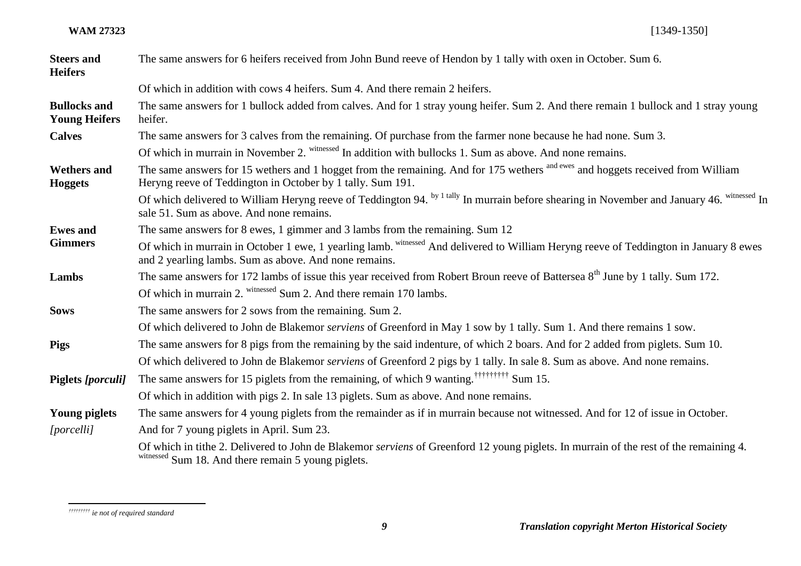| <b>Steers and</b><br><b>Heifers</b>         | The same answers for 6 heifers received from John Bund reeve of Hendon by 1 tally with oxen in October. Sum 6.                                                                                  |
|---------------------------------------------|-------------------------------------------------------------------------------------------------------------------------------------------------------------------------------------------------|
|                                             | Of which in addition with cows 4 heifers. Sum 4. And there remain 2 heifers.                                                                                                                    |
| <b>Bullocks and</b><br><b>Young Heifers</b> | The same answers for 1 bullock added from calves. And for 1 stray young heifer. Sum 2. And there remain 1 bullock and 1 stray young<br>heifer.                                                  |
| <b>Calves</b>                               | The same answers for 3 calves from the remaining. Of purchase from the farmer none because he had none. Sum 3.                                                                                  |
|                                             | Of which in murrain in November 2. witnessed In addition with bullocks 1. Sum as above. And none remains.                                                                                       |
| <b>Wethers and</b><br><b>Hoggets</b>        | The same answers for 15 wethers and 1 hogget from the remaining. And for 175 wethers and hoggets received from William<br>Heryng reeve of Teddington in October by 1 tally. Sum 191.            |
|                                             | Of which delivered to William Heryng reeve of Teddington 94. by 1 tally In murrain before shearing in November and January 46. witnessed In<br>sale 51. Sum as above. And none remains.         |
| <b>Ewes</b> and                             | The same answers for 8 ewes, 1 gimmer and 3 lambs from the remaining. Sum 12                                                                                                                    |
| <b>Gimmers</b>                              | Of which in murrain in October 1 ewe, 1 yearling lamb. withessed And delivered to William Heryng reeve of Teddington in January 8 ewes<br>and 2 yearling lambs. Sum as above. And none remains. |
| Lambs                                       | The same answers for 172 lambs of issue this year received from Robert Broun reeve of Battersea 8 <sup>th</sup> June by 1 tally. Sum 172.                                                       |
|                                             | Of which in murrain 2. witnessed Sum 2. And there remain 170 lambs.                                                                                                                             |
| <b>Sows</b>                                 | The same answers for 2 sows from the remaining. Sum 2.                                                                                                                                          |
|                                             | Of which delivered to John de Blakemor <i>serviens</i> of Greenford in May 1 sow by 1 tally. Sum 1. And there remains 1 sow.                                                                    |
| <b>Pigs</b>                                 | The same answers for 8 pigs from the remaining by the said indenture, of which 2 boars. And for 2 added from piglets. Sum 10.                                                                   |
|                                             | Of which delivered to John de Blakemor serviens of Greenford 2 pigs by 1 tally. In sale 8. Sum as above. And none remains.                                                                      |
| Piglets [porculi]                           | The same answers for 15 piglets from the remaining, of which 9 wanting. <sup>†††††††††</sup> Sum 15.                                                                                            |
|                                             | Of which in addition with pigs 2. In sale 13 piglets. Sum as above. And none remains.                                                                                                           |
| <b>Young piglets</b>                        | The same answers for 4 young piglets from the remainder as if in murrain because not witnessed. And for 12 of issue in October.                                                                 |
| [porcelli]                                  | And for 7 young piglets in April. Sum 23.                                                                                                                                                       |
|                                             | Of which in tithe 2. Delivered to John de Blakemor serviens of Greenford 12 young piglets. In murrain of the rest of the remaining 4.<br>witnessed Sum 18. And there remain 5 young piglets.    |

 $\overline{a}$ *††††††††† ie not of required standard*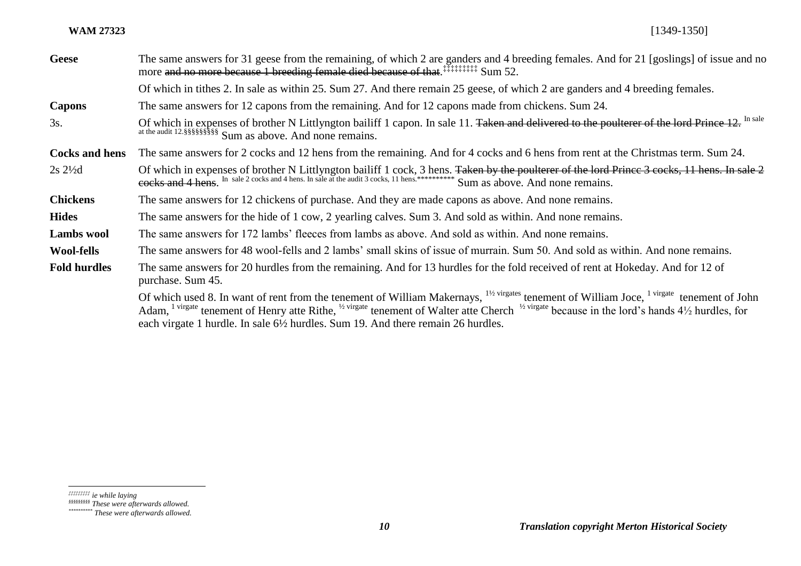#### **WAM 27323** [1349-1350]

| <b>Geese</b>          | The same answers for 31 geese from the remaining, of which 2 are ganders and 4 breeding females. And for 21 [goslings] of issue and no<br>more and no more because 1 breeding female died because of that. <sup>########</sup> Sum 52.                                                                                                                                                                                                                            |
|-----------------------|-------------------------------------------------------------------------------------------------------------------------------------------------------------------------------------------------------------------------------------------------------------------------------------------------------------------------------------------------------------------------------------------------------------------------------------------------------------------|
|                       | Of which in tithes 2. In sale as within 25. Sum 27. And there remain 25 geese, of which 2 are ganders and 4 breeding females.                                                                                                                                                                                                                                                                                                                                     |
| Capons                | The same answers for 12 capons from the remaining. And for 12 capons made from chickens. Sum 24.                                                                                                                                                                                                                                                                                                                                                                  |
| 3s.                   | Of which in expenses of brother N Littlyngton bailiff 1 capon. In sale 11. Taken and delivered to the poulterer of the lord Prince 12. In sale                                                                                                                                                                                                                                                                                                                    |
| <b>Cocks and hens</b> | The same answers for 2 cocks and 12 hens from the remaining. And for 4 cocks and 6 hens from rent at the Christmas term. Sum 24.                                                                                                                                                                                                                                                                                                                                  |
| $2s\,2\frac{1}{2}d$   | Of which in expenses of brother N Littlyngton bailiff 1 cock, 3 hens. Taken by the poulterer of the lord Prince 3 cocks, 11 hens. In sale 2<br>cocks and 4 hens. In sale 2 cocks and 4 hens. In sale at the audit 3 cocks, 11 hens.*************** Sum as above. And none remains.                                                                                                                                                                                |
| <b>Chickens</b>       | The same answers for 12 chickens of purchase. And they are made capons as above. And none remains.                                                                                                                                                                                                                                                                                                                                                                |
| <b>Hides</b>          | The same answers for the hide of 1 cow, 2 yearling calves. Sum 3. And sold as within. And none remains.                                                                                                                                                                                                                                                                                                                                                           |
| <b>Lambs</b> wool     | The same answers for 172 lambs' fleeces from lambs as above. And sold as within. And none remains.                                                                                                                                                                                                                                                                                                                                                                |
| <b>Wool-fells</b>     | The same answers for 48 wool-fells and 2 lambs' small skins of issue of murrain. Sum 50. And sold as within. And none remains.                                                                                                                                                                                                                                                                                                                                    |
| <b>Fold hurdles</b>   | The same answers for 20 hurdles from the remaining. And for 13 hurdles for the fold received of rent at Hokeday. And for 12 of<br>purchase. Sum 45.                                                                                                                                                                                                                                                                                                               |
|                       | Of which used 8. In want of rent from the tenement of William Makernays, <sup>11/2</sup> virgates tenement of William Joce, <sup>1 virgate</sup> tenement of John<br>Adam, <sup>1 virgate</sup> tenement of Henry atte Rithe, <sup>1/2 virgate</sup> tenement of Walter atte Cherch <sup>1/2 virgate</sup> because in the lord's hands $4\frac{1}{2}$ hurdles, for<br>each virgate 1 hurdle. In sale $6\frac{1}{2}$ hurdles. Sum 19. And there remain 26 hurdles. |

 $\overline{a}$ *‡‡‡‡‡‡‡‡‡ ie while laying*

*<sup>§§§§§§§§§</sup> These were afterwards allowed.*

*<sup>\*\*\*\*\*\*\*\*\*\*</sup> These were afterwards allowed.*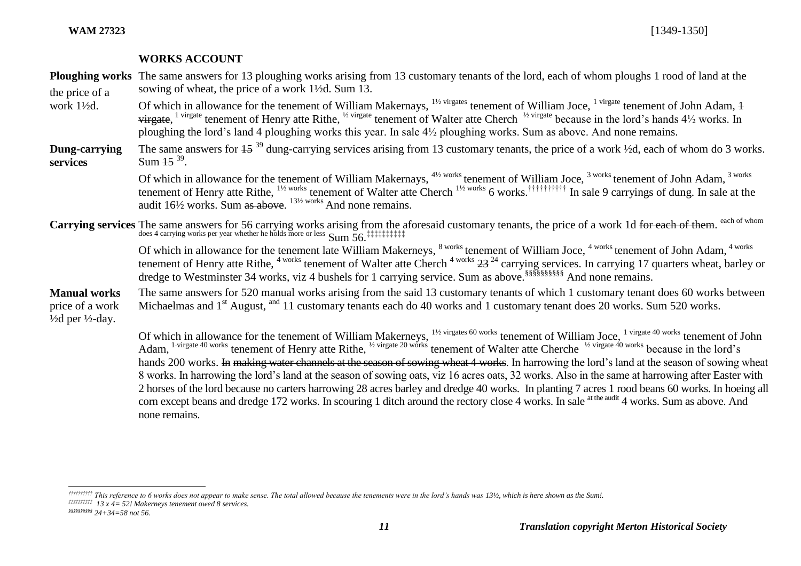#### **WORKS ACCOUNT**

**Ploughing works** The same answers for 13 ploughing works arising from 13 customary tenants of the lord, each of whom ploughs 1 rood of land at the the price of a sowing of wheat, the price of a work 1½d. Sum 13.

- work 1½d. Of which in allowance for the tenement of William Makernays, <sup>11/2 virgates</sup> tenement of William Joce, <sup>1 virgate</sup> tenement of John Adam, 4  $\vec{v}$  virgate, <sup>1 virgate</sup> tenement of Henry atte Rithe, <sup>12</sup> virgate tenement of Walter atte Cherch <sup>12</sup> virgate because in the lord's hands 4<sup>1</sup>/<sub>2</sub> works. In ploughing the lord's land 4 ploughing works this year. In sale 4½ ploughing works. Sum as above. And none remains.
- **Dung-carrying services** The same answers for  $15^{39}$  dung-carrying services arising from 13 customary tenants, the price of a work ½d, each of whom do 3 works. Sum  $15^{39}$ .

Of which in allowance for the tenement of William Makernays,  $4\frac{1}{2}$  works tenement of William Joce,  $3$  works tenement of John Adam,  $3$  works tenement of Henry atte Rithe,  $^{1\frac{1}{2}$  works tenement of Walter atte Cherch  $^{1\frac{1}{2}$  works 6 works.<sup>††††††††††</sup> In sale 9 carryings of dung. In sale at the audit  $16\frac{1}{2}$  works. Sum as above.  $13\frac{1}{2}$  works And none remains.

Carrying services The same answers for 56 carrying works arising from the aforesaid customary tenants, the price of a work 1d <del>for each of them</del>. <sup>each of whom</sup> does 4 carrying works per year whether he holds more or less Sum 56.

dredge to Westminster 34 works, viz 4 bushels for 1 carrying service. Sum as above.<sup>8888888888888</sup> And none remains. Of which in allowance for the tenement late William Makerneys, <sup>8 works</sup> tenement of William Joce, <sup>4 works</sup> tenement of John Adam, <sup>4 works</sup> tenement of Henry atte Rithe, <sup>4 works</sup> tenement of Walter atte Cherch <sup>4 works</sup> 23<sup>24</sup> carrying services. In carrying 17 quarters wheat, barley or

**Manual works**  price of a work  $\frac{1}{2}$ d per  $\frac{1}{2}$ -day. The same answers for 520 manual works arising from the said 13 customary tenants of which 1 customary tenant does 60 works between Michaelmas and 1<sup>st</sup> August, <sup>and</sup> 11 customary tenants each do 40 works and 1 customary tenant does 20 works. Sum 520 works.

> Of which in allowance for the tenement of William Makerneys, <sup>11/2</sup> virgates 60 works tenement of William Joce, <sup>1 virgate 40 works</sup> tenement of John Adam, <sup>1-virgate 40 works</sup> tenement of Henry atte Rithe, <sup>1/2 virgate 20 works</sup> tenement of Walter atte Cherche <sup>1/2 virgate 40 works</sup> because in the lord's hands 200 works. In making water channels at the season of sowing wheat 4 works. In harrowing the lord's land at the season of sowing wheat 8 works. In harrowing the lord's land at the season of sowing oats, viz 16 acres oats, 32 works. Also in the same at harrowing after Easter with 2 horses of the lord because no carters harrowing 28 acres barley and dredge 40 works. In planting 7 acres 1 rood beans 60 works. In hoeing all corn except beans and dredge 172 works. In scouring 1 ditch around the rectory close 4 works. In sale at the audit 4 works. Sum as above. And none remains.

 $\overline{a}$ 

*<sup>††††††††††</sup> This reference to 6 works does not appear to make sense. The total allowed because the tenements were in the lord's hands was 13½, which is here shown as the Sum!.*

*<sup>‡‡‡‡‡‡‡‡‡‡</sup> 13 x 4= 52! Makerneys tenement owed 8 services.*

*<sup>§§§§§§§§§§</sup> 24+34=58 not 56.*